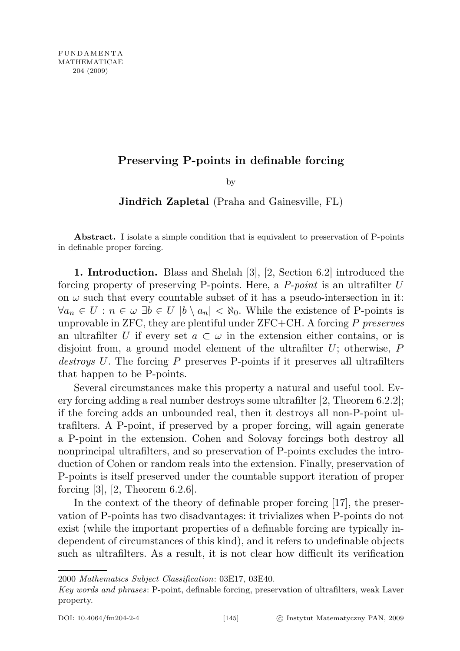## Preserving P-points in definable forcing

by

**Jindřich Zapletal** (Praha and Gainesville, FL)

Abstract. I isolate a simple condition that is equivalent to preservation of P-points in definable proper forcing.

1. Introduction. Blass and Shelah [3], [2, Section 6.2] introduced the forcing property of preserving P-points. Here, a  $P$ -point is an ultrafilter U on  $\omega$  such that every countable subset of it has a pseudo-intersection in it:  $\forall a_n \in U : n \in \omega \exists b \in U \mid b \setminus a_n \mid < \aleph_0$ . While the existence of P-points is unprovable in ZFC, they are plentiful under  $ZFC+CH$ . A forcing P preserves an ultrafilter U if every set  $a \subset \omega$  in the extension either contains, or is disjoint from, a ground model element of the ultrafilter  $U$ ; otherwise,  $P$ destroys U. The forcing P preserves P-points if it preserves all ultrafilters that happen to be P-points.

Several circumstances make this property a natural and useful tool. Every forcing adding a real number destroys some ultrafilter [2, Theorem 6.2.2]; if the forcing adds an unbounded real, then it destroys all non-P-point ultrafilters. A P-point, if preserved by a proper forcing, will again generate a P-point in the extension. Cohen and Solovay forcings both destroy all nonprincipal ultrafilters, and so preservation of P-points excludes the introduction of Cohen or random reals into the extension. Finally, preservation of P-points is itself preserved under the countable support iteration of proper forcing  $[3]$ ,  $[2,$  Theorem 6.2.6.

In the context of the theory of definable proper forcing [17], the preservation of P-points has two disadvantages: it trivializes when P-points do not exist (while the important properties of a definable forcing are typically independent of circumstances of this kind), and it refers to undefinable objects such as ultrafilters. As a result, it is not clear how difficult its verification

<sup>2000</sup> Mathematics Subject Classification: 03E17, 03E40.

Key words and phrases: P-point, definable forcing, preservation of ultrafilters, weak Laver property.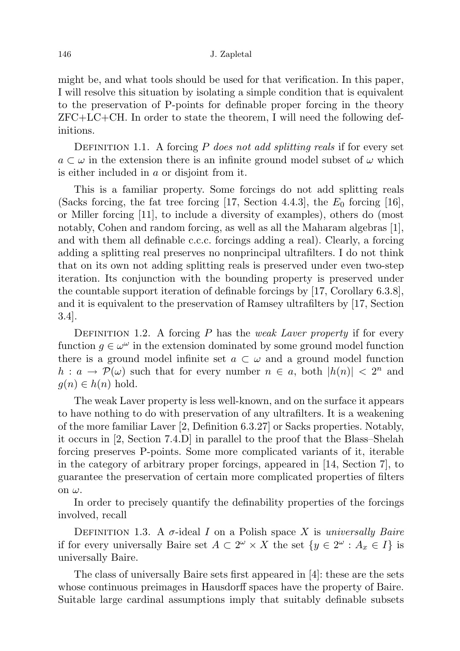might be, and what tools should be used for that verification. In this paper, I will resolve this situation by isolating a simple condition that is equivalent to the preservation of P-points for definable proper forcing in the theory  $ZFC+LC+CH$ . In order to state the theorem, I will need the following definitions.

DEFINITION 1.1. A forcing P does not add splitting reals if for every set  $a \subset \omega$  in the extension there is an infinite ground model subset of  $\omega$  which is either included in a or disjoint from it.

This is a familiar property. Some forcings do not add splitting reals (Sacks forcing, the fat tree forcing [17, Section 4.4.3], the  $E_0$  forcing [16], or Miller forcing [11], to include a diversity of examples), others do (most notably, Cohen and random forcing, as well as all the Maharam algebras [1], and with them all definable c.c.c. forcings adding a real). Clearly, a forcing adding a splitting real preserves no nonprincipal ultrafilters. I do not think that on its own not adding splitting reals is preserved under even two-step iteration. Its conjunction with the bounding property is preserved under the countable support iteration of definable forcings by [17, Corollary 6.3.8], and it is equivalent to the preservation of Ramsey ultrafilters by [17, Section 3.4].

DEFINITION 1.2. A forcing  $P$  has the *weak Laver property* if for every function  $g \in \omega^{\omega}$  in the extension dominated by some ground model function there is a ground model infinite set  $a \text{ }\subset \text{ }\omega$  and a ground model function  $h: a \to \mathcal{P}(\omega)$  such that for every number  $n \in a$ , both  $|h(n)| < 2^n$  and  $g(n) \in h(n)$  hold.

The weak Laver property is less well-known, and on the surface it appears to have nothing to do with preservation of any ultrafilters. It is a weakening of the more familiar Laver [2, Definition 6.3.27] or Sacks properties. Notably, it occurs in [2, Section 7.4.D] in parallel to the proof that the Blass–Shelah forcing preserves P-points. Some more complicated variants of it, iterable in the category of arbitrary proper forcings, appeared in [14, Section 7], to guarantee the preservation of certain more complicated properties of filters on  $\omega$ .

In order to precisely quantify the definability properties of the forcings involved, recall

DEFINITION 1.3. A  $\sigma$ -ideal I on a Polish space X is universally Baire if for every universally Baire set  $A \subset 2^{\omega} \times X$  the set  $\{y \in 2^{\omega} : A_x \in I\}$  is universally Baire.

The class of universally Baire sets first appeared in [4]: these are the sets whose continuous preimages in Hausdorff spaces have the property of Baire. Suitable large cardinal assumptions imply that suitably definable subsets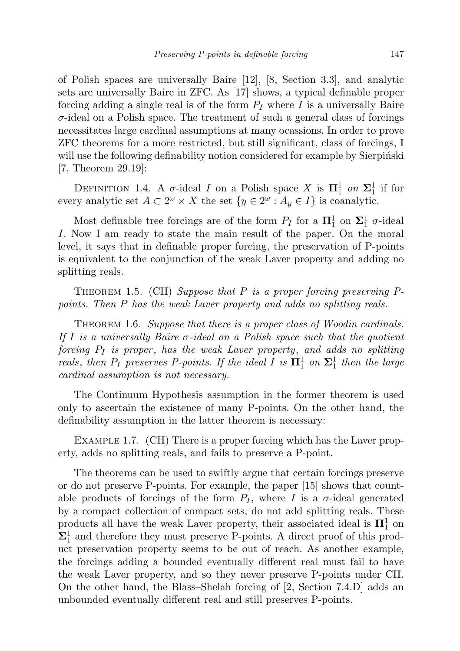of Polish spaces are universally Baire [12], [8, Section 3.3], and analytic sets are universally Baire in ZFC. As [17] shows, a typical definable proper forcing adding a single real is of the form  $P_I$  where I is a universally Baire  $\sigma$ -ideal on a Polish space. The treatment of such a general class of forcings necessitates large cardinal assumptions at many ocassions. In order to prove ZFC theorems for a more restricted, but still significant, class of forcings, I will use the following definability notion considered for example by Sierpinski [7, Theorem 29.19]:

DEFINITION 1.4. A  $\sigma$ -ideal I on a Polish space X is  $\Pi_1^1$  on  $\Sigma_1^1$  if for every analytic set  $A \subset 2^{\omega} \times X$  the set  $\{y \in 2^{\omega} : A_y \in I\}$  is coanalytic.

Most definable tree forcings are of the form  $P_I$  for a  $\mathbf{\Pi}^1_1$  on  $\mathbf{\Sigma}^1_1$   $\sigma$ -ideal I. Now I am ready to state the main result of the paper. On the moral level, it says that in definable proper forcing, the preservation of P-points is equivalent to the conjunction of the weak Laver property and adding no splitting reals.

THEOREM 1.5. (CH) Suppose that  $P$  is a proper forcing preserving  $P$ points. Then P has the weak Laver property and adds no splitting reals.

THEOREM 1.6. Suppose that there is a proper class of Woodin cardinals. If I is a universally Baire  $\sigma$ -ideal on a Polish space such that the quotient forcing  $P_I$  is proper, has the weak Laver property, and adds no splitting reals, then  $P_I$  preserves P-points. If the ideal I is  $\mathbf{\Pi}^1_1$  on  $\mathbf{\Sigma}^1_1$  then the large cardinal assumption is not necessary.

The Continuum Hypothesis assumption in the former theorem is used only to ascertain the existence of many P-points. On the other hand, the definability assumption in the latter theorem is necessary:

EXAMPLE 1.7. (CH) There is a proper forcing which has the Laver property, adds no splitting reals, and fails to preserve a P-point.

The theorems can be used to swiftly argue that certain forcings preserve or do not preserve P-points. For example, the paper [15] shows that countable products of forcings of the form  $P_I$ , where I is a  $\sigma$ -ideal generated by a compact collection of compact sets, do not add splitting reals. These products all have the weak Laver property, their associated ideal is  $\mathbf{\Pi}^1_1$  on  $\Sigma^1_1$  and therefore they must preserve P-points. A direct proof of this product preservation property seems to be out of reach. As another example, the forcings adding a bounded eventually different real must fail to have the weak Laver property, and so they never preserve P-points under CH. On the other hand, the Blass–Shelah forcing of [2, Section 7.4.D] adds an unbounded eventually different real and still preserves P-points.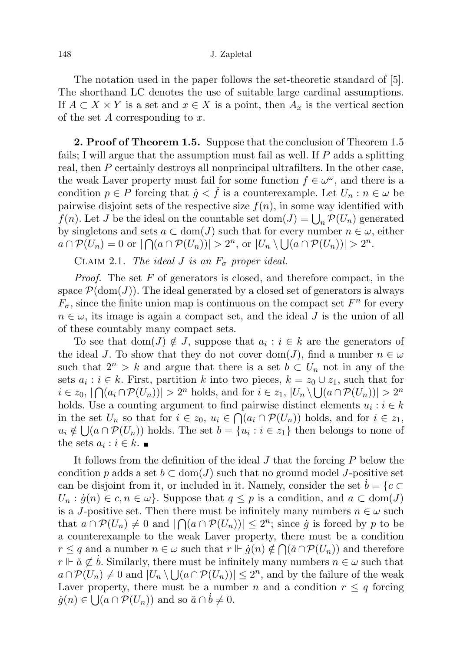The notation used in the paper follows the set-theoretic standard of [5]. The shorthand LC denotes the use of suitable large cardinal assumptions. If  $A \subset X \times Y$  is a set and  $x \in X$  is a point, then  $A_x$  is the vertical section of the set A corresponding to x.

**2. Proof of Theorem 1.5.** Suppose that the conclusion of Theorem 1.5 fails; I will argue that the assumption must fail as well. If P adds a splitting real, then P certainly destroys all nonprincipal ultrafilters. In the other case, the weak Laver property must fail for some function  $f \in \omega^{\omega}$ , and there is a condition  $p \in P$  forcing that  $\dot{g} < \dot{f}$  is a counterexample. Let  $U_n : n \in \omega$  be pairwise disjoint sets of the respective size  $f(n)$ , in some way identified with  $f(n)$ . Let J be the ideal on the countable set  $dom(J) = \bigcup_n \mathcal{P}(U_n)$  generated by singletons and sets  $a \subset \text{dom}(J)$  such that for every number  $n \in \omega$ , either  $a \cap \mathcal{P}(U_n) = 0$  or  $|\bigcap (a \cap \mathcal{P}(U_n))| > 2^n$ , or  $|U_n \setminus \bigcup (a \cap \mathcal{P}(U_n))| > 2^n$ .

CLAIM 2.1. The ideal J is an  $F_{\sigma}$  proper ideal.

*Proof.* The set  $F$  of generators is closed, and therefore compact, in the space  $\mathcal{P}(\text{dom}(J))$ . The ideal generated by a closed set of generators is always  $F_{\sigma}$ , since the finite union map is continuous on the compact set  $F^n$  for every  $n \in \omega$ , its image is again a compact set, and the ideal J is the union of all of these countably many compact sets.

To see that  $dom(J) \notin J$ , suppose that  $a_i : i \in k$  are the generators of the ideal J. To show that they do not cover dom(J), find a number  $n \in \omega$ such that  $2^n > k$  and argue that there is a set  $b \subset U_n$  not in any of the sets  $a_i : i \in k$ . First, partition k into two pieces,  $k = z_0 \cup z_1$ , such that for  $i \in z_0, |\bigcap (a_i \cap \mathcal{P}(U_n))| > 2^n$  holds, and for  $i \in z_1, |U_n \setminus \bigcup (a \cap \mathcal{P}(U_n))| > 2^n$ holds. Use a counting argument to find pairwise distinct elements  $u_i : i \in k$ in the set  $U_n$  so that for  $i \in z_0$ ,  $u_i \in \bigcap (a_i \cap \mathcal{P}(U_n))$  holds, and for  $i \in z_1$ ,  $u_i \notin \bigcup (a \cap \mathcal{P}(U_n))$  holds. The set  $b = \{u_i : i \in z_1\}$  then belongs to none of the sets  $a_i : i \in k$ .

It follows from the definition of the ideal J that the forcing P below the condition p adds a set  $b \subset \text{dom}(J)$  such that no ground model J-positive set can be disjoint from it, or included in it. Namely, consider the set  $b = \{c \subset$  $U_n : \dot{g}(n) \in c, n \in \omega$ . Suppose that  $q \leq p$  is a condition, and  $a \subset \text{dom}(J)$ is a J-positive set. Then there must be infinitely many numbers  $n \in \omega$  such that  $a \cap \mathcal{P}(U_n) \neq 0$  and  $|\bigcap (a \cap \mathcal{P}(U_n))| \leq 2^n$ ; since  $\dot{g}$  is forced by p to be a counterexample to the weak Laver property, there must be a condition  $r \leq q$  and a number  $n \in \omega$  such that  $r \Vdash \dot{g}(n) \notin \bigcap (\check{a} \cap \mathcal{P}(U_n))$  and therefore  $r \Vdash \check{a} \not\subset \check{b}$ . Similarly, there must be infinitely many numbers  $n \in \omega$  such that  $a \cap \mathcal{P}(U_n) \neq 0$  and  $|U_n \setminus \bigcup (a \cap \mathcal{P}(U_n))| \leq 2^n$ , and by the failure of the weak Laver property, there must be a number n and a condition  $r \leq q$  forcing  $\dot{g}(n) \in \bigcup (a \cap \mathcal{P}(U_n))$  and so  $\check{a} \cap \dot{b} \neq 0$ .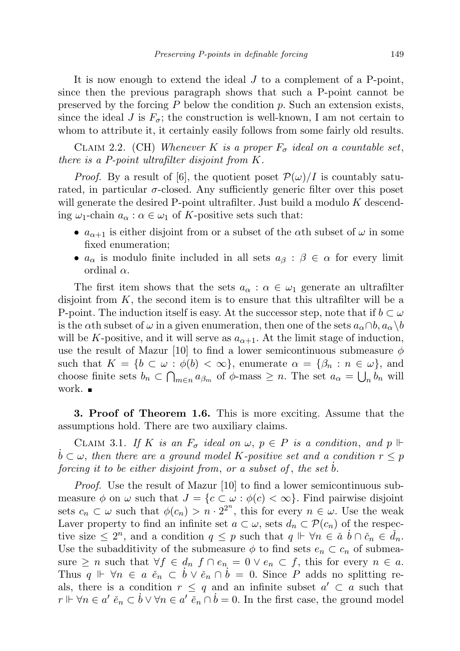It is now enough to extend the ideal J to a complement of a P-point, since then the previous paragraph shows that such a P-point cannot be preserved by the forcing  $P$  below the condition  $p$ . Such an extension exists, since the ideal J is  $F_{\sigma}$ ; the construction is well-known, I am not certain to whom to attribute it, it certainly easily follows from some fairly old results.

CLAIM 2.2. (CH) Whenever K is a proper  $F_{\sigma}$  ideal on a countable set, there is a P-point ultrafilter disjoint from K.

*Proof.* By a result of [6], the quotient poset  $\mathcal{P}(\omega)/I$  is countably saturated, in particular  $\sigma$ -closed. Any sufficiently generic filter over this poset will generate the desired P-point ultrafilter. Just build a modulo K descending  $\omega_1$ -chain  $a_\alpha$ :  $\alpha \in \omega_1$  of K-positive sets such that:

- $a_{\alpha+1}$  is either disjoint from or a subset of the  $\alpha$ th subset of  $\omega$  in some fixed enumeration;
- $a_{\alpha}$  is modulo finite included in all sets  $a_{\beta} : \beta \in \alpha$  for every limit ordinal α.

The first item shows that the sets  $a_{\alpha} : \alpha \in \omega_1$  generate an ultrafilter disjoint from  $K$ , the second item is to ensure that this ultrafilter will be a P-point. The induction itself is easy. At the successor step, note that if  $b \subset \omega$ is the  $\alpha$ th subset of  $\omega$  in a given enumeration, then one of the sets  $a_{\alpha} \cap b$ ,  $a_{\alpha} \setminus b$ will be K-positive, and it will serve as  $a_{\alpha+1}$ . At the limit stage of induction, use the result of Mazur [10] to find a lower semicontinuous submeasure  $\phi$ such that  $K = \{b \subset \omega : \phi(b) < \infty\}$ , enumerate  $\alpha = \{\beta_n : n \in \omega\}$ , and choose finite sets  $b_n \,\subset \,\bigcap_{m\in n} a_{\beta_m}$  of  $\phi$ -mass  $\geq n$ . The set  $a_\alpha = \bigcup_n b_n$  will work. ■

3. Proof of Theorem 1.6. This is more exciting. Assume that the assumptions hold. There are two auxiliary claims.

CLAIM 3.1. If K is an  $F_{\sigma}$  ideal on  $\omega, p \in P$  is a condition, and  $p \Vdash$  $b \subset \omega$ , then there are a ground model K-positive set and a condition  $r \leq p$ forcing it to be either disjoint from, or a subset of, the set  $b$ .

Proof. Use the result of Mazur [10] to find a lower semicontinuous submeasure  $\phi$  on  $\omega$  such that  $J = \{c \subset \omega : \phi(c) < \infty\}$ . Find pairwise disjoint sets  $c_n \,\subset \omega$  such that  $\phi(c_n) > n \cdot 2^{2^n}$ , this for every  $n \in \omega$ . Use the weak Laver property to find an infinite set  $a \subset \omega$ , sets  $d_n \subset \mathcal{P}(c_n)$  of the respective size  $\leq 2^n$ , and a condition  $q \leq p$  such that  $q \Vdash \forall n \in \check{a}$   $\check{b} \cap \check{c}_n \in \check{d}_n$ . Use the subadditivity of the submeasure  $\phi$  to find sets  $e_n \subset c_n$  of submeasure  $\geq n$  such that  $\forall f \in d_n$   $f \cap e_n = 0 \vee e_n \subset f$ , this for every  $n \in a$ . Thus  $q \Vdash \forall n \in a \check{e}_n \subset \check{b} \vee \check{e}_n \cap \check{b} = 0$ . Since P adds no splitting reals, there is a condition  $r \leq q$  and an infinite subset  $a' \subset a$  such that  $r \Vdash \forall n \in a'$   $\check{e}_n \subset \dot{b} \vee \forall n \in a'$   $\check{e}_n \cap \dot{b} = 0$ . In the first case, the ground model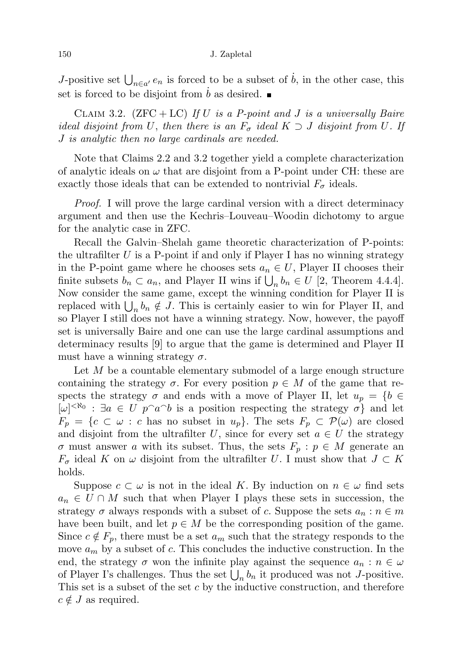J-positive set  $\bigcup_{n\in a'} e_n$  is forced to be a subset of  $\dot{b}$ , in the other case, this set is forced to be disjoint from  $b$  as desired.  $\blacksquare$ 

CLAIM 3.2.  $(ZFC + LC)$  If U is a P-point and J is a universally Baire ideal disjoint from U, then there is an  $F_{\sigma}$  ideal  $K \supset J$  disjoint from U. If J is analytic then no large cardinals are needed.

Note that Claims 2.2 and 3.2 together yield a complete characterization of analytic ideals on  $\omega$  that are disjoint from a P-point under CH: these are exactly those ideals that can be extended to nontrivial  $F_{\sigma}$  ideals.

Proof. I will prove the large cardinal version with a direct determinacy argument and then use the Kechris–Louveau–Woodin dichotomy to argue for the analytic case in ZFC.

Recall the Galvin–Shelah game theoretic characterization of P-points: the ultrafilter  $U$  is a P-point if and only if Player I has no winning strategy in the P-point game where he chooses sets  $a_n \in U$ , Player II chooses their finite subsets  $b_n \subset a_n$ , and Player II wins if  $\bigcup_n b_n \in U$  [2, Theorem 4.4.4]. Now consider the same game, except the winning condition for Player II is replaced with  $\bigcup_n b_n \notin J$ . This is certainly easier to win for Player II, and so Player I still does not have a winning strategy. Now, however, the payoff set is universally Baire and one can use the large cardinal assumptions and determinacy results [9] to argue that the game is determined and Player II must have a winning strategy  $\sigma$ .

Let  $M$  be a countable elementary submodel of a large enough structure containing the strategy  $\sigma$ . For every position  $p \in M$  of the game that respects the strategy  $\sigma$  and ends with a move of Player II, let  $u_p = \{b \in$  $[\omega]^{<\aleph_0}$ :  $\exists a \in U \, p^{\frown} a^{\frown} b$  is a position respecting the strategy  $\sigma$  and let  $F_p = \{c \subset \omega : c \text{ has no subset in } u_p\}.$  The sets  $F_p \subset \mathcal{P}(\omega)$  are closed and disjoint from the ultrafilter U, since for every set  $a \in U$  the strategy  $\sigma$  must answer a with its subset. Thus, the sets  $F_p : p \in M$  generate an  $F_{\sigma}$  ideal K on  $\omega$  disjoint from the ultrafilter U. I must show that  $J \subset K$ holds.

Suppose  $c \subset \omega$  is not in the ideal K. By induction on  $n \in \omega$  find sets  $a_n \in U \cap M$  such that when Player I plays these sets in succession, the strategy  $\sigma$  always responds with a subset of c. Suppose the sets  $a_n : n \in m$ have been built, and let  $p \in M$  be the corresponding position of the game. Since  $c \notin F_p$ , there must be a set  $a_m$  such that the strategy responds to the move  $a_m$  by a subset of c. This concludes the inductive construction. In the end, the strategy  $\sigma$  won the infinite play against the sequence  $a_n : n \in \omega$ of Player I's challenges. Thus the set  $\bigcup_n b_n$  it produced was not *J*-positive. This set is a subset of the set c by the inductive construction, and therefore  $c \notin J$  as required.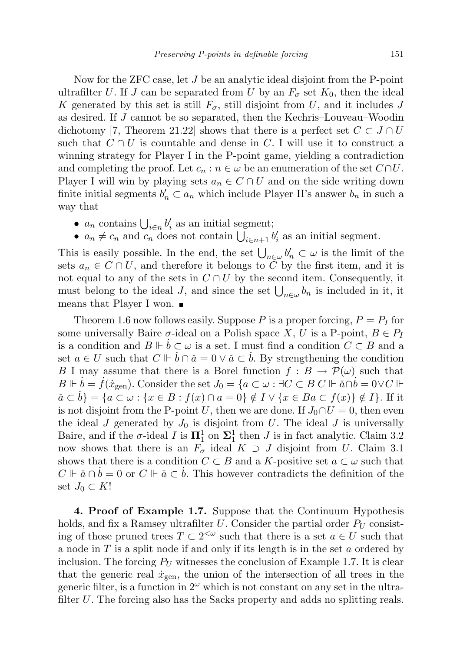Now for the ZFC case, let J be an analytic ideal disjoint from the P-point ultrafilter U. If J can be separated from U by an  $F_{\sigma}$  set  $K_0$ , then the ideal K generated by this set is still  $F_{\sigma}$ , still disjoint from U, and it includes J as desired. If J cannot be so separated, then the Kechris–Louveau–Woodin dichotomy [7, Theorem 21.22] shows that there is a perfect set  $C \subset J \cap U$ such that  $C \cap U$  is countable and dense in C. I will use it to construct a winning strategy for Player I in the P-point game, yielding a contradiction and completing the proof. Let  $c_n : n \in \omega$  be an enumeration of the set  $C \cap U$ . Player I will win by playing sets  $a_n \in C \cap U$  and on the side writing down finite initial segments  $b'_n \subset a_n$  which include Player II's answer  $b_n$  in such a way that

- $a_n$  contains  $\bigcup_{i \in n} b'_i$  as an initial segment;
- $a_n \neq c_n$  and  $c_n$  does not contain  $\bigcup_{i \in n+1} b'_i$  as an initial segment.

This is easily possible. In the end, the set  $\bigcup_{n\in\omega}b'_n\subset\omega$  is the limit of the sets  $a_n \in C \cap U$ , and therefore it belongs to  $\overline{C}$  by the first item, and it is not equal to any of the sets in  $C \cap U$  by the second item. Consequently, it must belong to the ideal J, and since the set  $\bigcup_{n\in\omega}b_n$  is included in it, it means that Player I won.

Theorem 1.6 now follows easily. Suppose P is a proper forcing,  $P = P_I$  for some universally Baire  $\sigma$ -ideal on a Polish space X, U is a P-point,  $B \in P_I$ is a condition and  $B \Vdash b \subset \omega$  is a set. I must find a condition  $C \subset B$  and a set  $a \in U$  such that  $C \Vdash \dot{b} \cap \check{a} = 0 \vee \check{a} \subset \dot{b}$ . By strengthening the condition B I may assume that there is a Borel function  $f : B \to \mathcal{P}(\omega)$  such that  $B \Vdash \dot{b} = \dot{f}(\dot{x}_{gen})$ . Consider the set  $J_0 = \{a \subset \omega : \exists C \subset B \ C \Vdash \check{a} \cap \dot{b} = 0 \lor C \Vdash$  $\check{a} \subset \check{b}$  = { $a \subset \omega$  : { $x \in B$  :  $f(x) \cap a = 0$ }  $\notin I \vee \{x \in Ba \subset f(x)\}\notin I$ . If it is not disjoint from the P-point U, then we are done. If  $J_0 \cap U = 0$ , then even the ideal J generated by  $J_0$  is disjoint from U. The ideal J is universally Baire, and if the  $\sigma$ -ideal I is  $\mathbf{\Pi}^1_1$  on  $\mathbf{\Sigma}^1_1$  then J is in fact analytic. Claim 3.2 now shows that there is an  $F_{\sigma}$  ideal  $K \supset J$  disjoint from U. Claim 3.1 shows that there is a condition  $C \subset B$  and a K-positive set  $a \subset \omega$  such that  $C \Vdash \check{a} \cap \check{b} = 0$  or  $C \Vdash \check{a} \subset \check{b}$ . This however contradicts the definition of the set  $J_0 \subset K!$ 

4. Proof of Example 1.7. Suppose that the Continuum Hypothesis holds, and fix a Ramsey ultrafilter U. Consider the partial order  $P_U$  consisting of those pruned trees  $T \subset 2^{\lt \omega}$  such that there is a set  $a \in U$  such that a node in  $T$  is a split node if and only if its length is in the set  $a$  ordered by inclusion. The forcing  $P_U$  witnesses the conclusion of Example 1.7. It is clear that the generic real  $\dot{x}_{gen}$ , the union of the intersection of all trees in the generic filter, is a function in  $2^{\omega}$  which is not constant on any set in the ultrafilter U. The forcing also has the Sacks property and adds no splitting reals.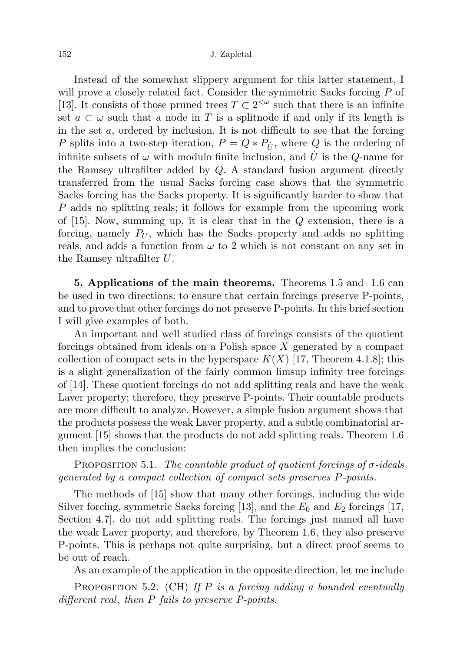Instead of the somewhat slippery argument for this latter statement, I will prove a closely related fact. Consider the symmetric Sacks forcing P of [13]. It consists of those pruned trees  $T \subset 2^{\langle \omega \rangle}$  such that there is an infinite set  $a \subset \omega$  such that a node in T is a splitnode if and only if its length is in the set  $a$ , ordered by inclusion. It is not difficult to see that the forcing P splits into a two-step iteration,  $P = Q * P_{\dot{U}}$ , where Q is the ordering of infinite subsets of  $\omega$  with modulo finite inclusion, and  $\dot{U}$  is the Q-name for the Ramsey ultrafilter added by Q. A standard fusion argument directly transferred from the usual Sacks forcing case shows that the symmetric Sacks forcing has the Sacks property. It is significantly harder to show that P adds no splitting reals; it follows for example from the upcoming work of  $[15]$ . Now, summing up, it is clear that in the Q extension, there is a forcing, namely  $P_U$ , which has the Sacks property and adds no splitting reals, and adds a function from  $\omega$  to 2 which is not constant on any set in the Ramsey ultrafilter U.

5. Applications of the main theorems. Theorems 1.5 and 1.6 can be used in two directions: to ensure that certain forcings preserve P-points, and to prove that other forcings do not preserve P-points. In this brief section I will give examples of both.

An important and well studied class of forcings consists of the quotient forcings obtained from ideals on a Polish space X generated by a compact collection of compact sets in the hyperspace  $K(X)$  [17, Theorem 4.1.8]; this is a slight generalization of the fairly common limsup infinity tree forcings of [14]. These quotient forcings do not add splitting reals and have the weak Laver property; therefore, they preserve P-points. Their countable products are more difficult to analyze. However, a simple fusion argument shows that the products possess the weak Laver property, and a subtle combinatorial argument [15] shows that the products do not add splitting reals. Theorem 1.6 then implies the conclusion:

PROPOSITION 5.1. The countable product of quotient forcings of  $\sigma$ -ideals generated by a compact collection of compact sets preserves P-points.

The methods of [15] show that many other forcings, including the wide Silver forcing, symmetric Sacks forcing [13], and the  $E_0$  and  $E_2$  forcings [17, Section 4.7], do not add splitting reals. The forcings just named all have the weak Laver property, and therefore, by Theorem 1.6, they also preserve P-points. This is perhaps not quite surprising, but a direct proof seems to be out of reach.

As an example of the application in the opposite direction, let me include

PROPOSITION 5.2. (CH) If P is a forcing adding a bounded eventually different real, then P fails to preserve P-points.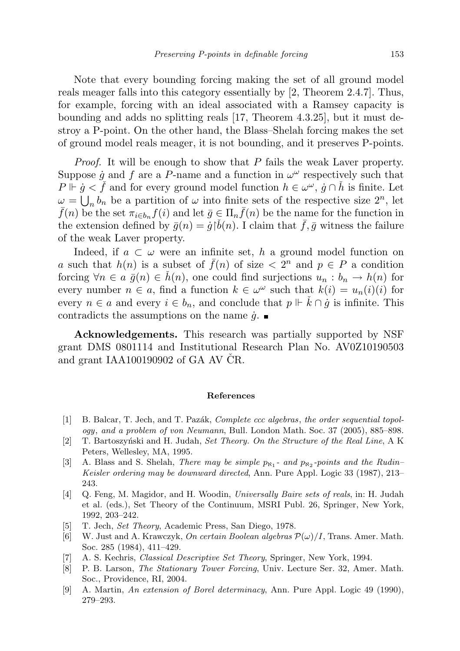Note that every bounding forcing making the set of all ground model reals meager falls into this category essentially by [2, Theorem 2.4.7]. Thus, for example, forcing with an ideal associated with a Ramsey capacity is bounding and adds no splitting reals [17, Theorem 4.3.25], but it must destroy a P-point. On the other hand, the Blass–Shelah forcing makes the set of ground model reals meager, it is not bounding, and it preserves P-points.

Proof. It will be enough to show that P fails the weak Laver property. Suppose  $\dot{g}$  and f are a P-name and a function in  $\omega^{\omega}$  respectively such that  $P \Vdash \dot{g} < \check{f}$  and for every ground model function  $h \in \omega^{\omega}$ ,  $\dot{g} \cap \check{h}$  is finite. Let  $\omega = \bigcup_n b_n$  be a partition of  $\omega$  into finite sets of the respective size  $2^n$ , let  $\bar{f}(n)$  be the set  $\pi_{i\in b_n}f(i)$  and let  $\bar{g} \in \Pi_n \bar{f}(n)$  be the name for the function in the extension defined by  $\bar{g}(n) = \dot{g}(\check{b}(n))$ . I claim that  $\bar{f}, \bar{g}$  witness the failure of the weak Laver property.

Indeed, if  $a \text{ }\subset \text{ }\omega$  were an infinite set, h a ground model function on a such that  $h(n)$  is a subset of  $\bar{f}(n)$  of size  $\langle 2^n \rangle$  and  $p \in P$  a condition forcing  $\forall n \in a \bar{g}(n) \in \check{h}(n)$ , one could find surjections  $u_n : b_n \to h(n)$  for every number  $n \in a$ , find a function  $k \in \omega^{\omega}$  such that  $k(i) = u_n(i)(i)$  for every  $n \in a$  and every  $i \in b_n$ , and conclude that  $p \Vdash k \cap \dot{g}$  is infinite. This contradicts the assumptions on the name  $\dot{g}$ .

Acknowledgements. This research was partially supported by NSF grant DMS 0801114 and Institutional Research Plan No. AV0Z10190503 and grant  $IAA100190902$  of GA AV CR.

## References

- [1] B. Balcar, T. Jech, and T. Pazák, *Complete ccc algebras, the order sequential topol*ogy, and a problem of von Neumann, Bull. London Math. Soc. 37 (2005), 885–898.
- [2]  $\Gamma$ . Bartoszyński and H. Judah, Set Theory. On the Structure of the Real Line, A K Peters, Wellesley, MA, 1995.
- [3] A. Blass and S. Shelah, *There may be simple*  $p_{N_1}$  *and*  $p_{N_2}$ -points and the *Rudin*-Keisler ordering may be downward directed, Ann. Pure Appl. Logic 33 (1987), 213– 243.
- [4] Q. Feng, M. Magidor, and H. Woodin, Universally Baire sets of reals, in: H. Judah et al. (eds.), Set Theory of the Continuum, MSRI Publ. 26, Springer, New York, 1992, 203–242.
- [5] T. Jech, Set Theory, Academic Press, San Diego, 1978.
- [6] W. Just and A. Krawczyk, On certain Boolean algebras  $\mathcal{P}(\omega)/I$ , Trans. Amer. Math. Soc. 285 (1984), 411–429.
- [7] A. S. Kechris, Classical Descriptive Set Theory, Springer, New York, 1994.
- [8] P. B. Larson, The Stationary Tower Forcing, Univ. Lecture Ser. 32, Amer. Math. Soc., Providence, RI, 2004.
- [9] A. Martin, An extension of Borel determinacy, Ann. Pure Appl. Logic 49 (1990), 279–293.